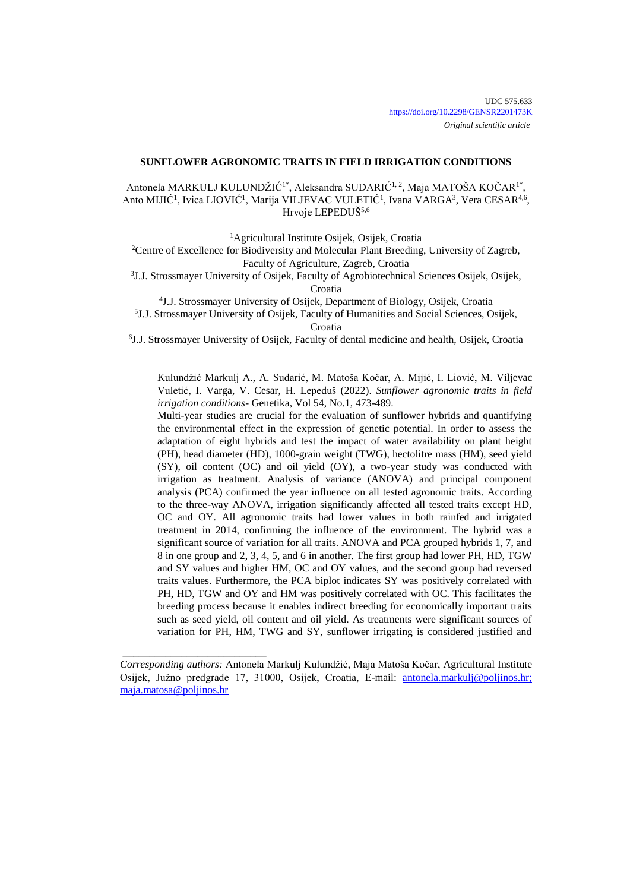# **SUNFLOWER AGRONOMIC TRAITS IN FIELD IRRIGATION CONDITIONS**

Antonela MARKULJ KULUNDŽIĆ<sup>1\*</sup>, Aleksandra SUDARIĆ<sup>1, 2</sup>, Maja MATOŠA KOČAR<sup>1\*</sup>, Anto MIJIĆ<sup>1</sup>, Ivica LIOVIĆ<sup>1</sup>, Marija VILJEVAC VULETIĆ<sup>1</sup>, Ivana VARGA<sup>3</sup>, Vera CESAR<sup>4,6</sup>, Hrvoje LEPEDUŠ<sup>5,6</sup>

<sup>1</sup>Agricultural Institute Osijek, Osijek, Croatia

<sup>2</sup>Centre of Excellence for Biodiversity and Molecular Plant Breeding, University of Zagreb, Faculty of Agriculture, Zagreb, Croatia

3 J.J. Strossmayer University of Osijek, Faculty of Agrobiotechnical Sciences Osijek, Osijek, Croatia

4 J.J. Strossmayer University of Osijek, Department of Biology, Osijek, Croatia

5 J.J. Strossmayer University of Osijek, Faculty of Humanities and Social Sciences, Osijek,

Croatia

6 J.J. Strossmayer University of Osijek, Faculty of dental medicine and health, Osijek, Croatia

Kulundžić Markulj A., A. Sudarić, M. Matoša Kočar, A. Mijić, I. Liović, M. Viljevac Vuletić, I. Varga, V. Cesar, H. Lepeduš (2022). *Sunflower agronomic traits in field irrigation conditions-* Genetika, Vol 54, No.1, 473-489.

Multi-year studies are crucial for the evaluation of sunflower hybrids and quantifying the environmental effect in the expression of genetic potential. In order to assess the adaptation of eight hybrids and test the impact of water availability on plant height (PH), head diameter (HD), 1000-grain weight (TWG), hectolitre mass (HM), seed yield (SY), oil content (OC) and oil yield (OY), a two-year study was conducted with irrigation as treatment. Analysis of variance (ANOVA) and principal component analysis (PCA) confirmed the year influence on all tested agronomic traits. According to the three-way ANOVA, irrigation significantly affected all tested traits except HD, OC and OY. All agronomic traits had lower values in both rainfed and irrigated treatment in 2014, confirming the influence of the environment. The hybrid was a significant source of variation for all traits. ANOVA and PCA grouped hybrids 1, 7, and 8 in one group and 2, 3, 4, 5, and 6 in another. The first group had lower PH, HD, TGW and SY values and higher HM, OC and OY values, and the second group had reversed traits values. Furthermore, the PCA biplot indicates SY was positively correlated with PH, HD, TGW and OY and HM was positively correlated with OC. This facilitates the breeding process because it enables indirect breeding for economically important traits such as seed yield, oil content and oil yield. As treatments were significant sources of variation for PH, HM, TWG and SY, sunflower irrigating is considered justified and

\_\_\_\_\_\_\_\_\_\_\_\_\_\_\_\_\_\_\_\_\_\_\_\_\_\_\_

*Corresponding authors:* Antonela Markulj Kulundžić, Maja Matoša Kočar, Agricultural Institute Osijek, Južno predgrađe 17, 31000, Osijek, Croatia, E-mail: antonela.markulj@poljinos.hr; maja.matosa@poljinos.hr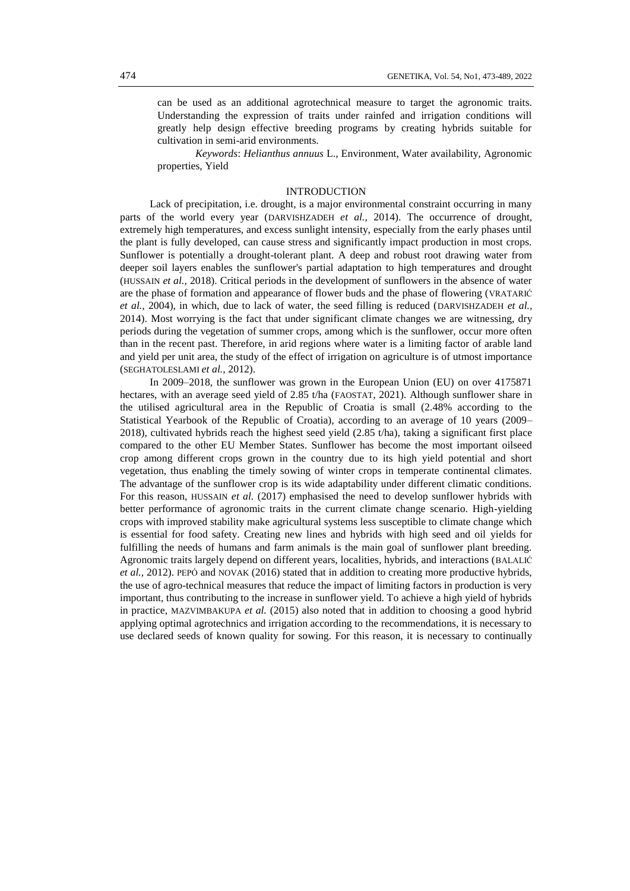can be used as an additional agrotechnical measure to target the agronomic traits. Understanding the expression of traits under rainfed and irrigation conditions will greatly help design effective breeding programs by creating hybrids suitable for cultivation in semi-arid environments.

*Keywords*: *Helianthus annuus* L., Environment, Water availability, Agronomic properties, Yield

# INTRODUCTION

Lack of precipitation, i.e. drought, is a major environmental constraint occurring in many parts of the world every year (DARVISHZADEH *et al.,* 2014). The occurrence of drought, extremely high temperatures, and excess sunlight intensity, especially from the early phases until the plant is fully developed, can cause stress and significantly impact production in most crops. Sunflower is potentially a drought-tolerant plant. A deep and robust root drawing water from deeper soil layers enables the sunflower's partial adaptation to high temperatures and drought (HUSSAIN *et al.,* 2018). Critical periods in the development of sunflowers in the absence of water are the phase of formation and appearance of flower buds and the phase of flowering (VRATARIĆ *et al.,* 2004), in which, due to lack of water, the seed filling is reduced (DARVISHZADEH *et al.,* 2014). Most worrying is the fact that under significant climate changes we are witnessing, dry periods during the vegetation of summer crops, among which is the sunflower, occur more often than in the recent past. Therefore, in arid regions where water is a limiting factor of arable land and yield per unit area, the study of the effect of irrigation on agriculture is of utmost importance (SEGHATOLESLAMI *et al.,* 2012).

In 2009–2018, the sunflower was grown in the European Union (EU) on over 4175871 hectares, with an average seed yield of 2.85 t/ha (FAOSTAT, 2021). Although sunflower share in the utilised agricultural area in the Republic of Croatia is small (2.48% according to the Statistical Yearbook of the Republic of Croatia), according to an average of 10 years (2009– 2018), cultivated hybrids reach the highest seed yield  $(2.85 t/ha)$ , taking a significant first place compared to the other EU Member States. Sunflower has become the most important oilseed crop among different crops grown in the country due to its high yield potential and short vegetation, thus enabling the timely sowing of winter crops in temperate continental climates. The advantage of the sunflower crop is its wide adaptability under different climatic conditions. For this reason, HUSSAIN *et al.* (2017) emphasised the need to develop sunflower hybrids with better performance of agronomic traits in the current climate change scenario. High-yielding crops with improved stability make agricultural systems less susceptible to climate change which is essential for food safety. Creating new lines and hybrids with high seed and oil yields for fulfilling the needs of humans and farm animals is the main goal of sunflower plant breeding. Agronomic traits largely depend on different years, localities, hybrids, and interactions (BALALIĆ *et al.,* 2012). PEPÓ and NOVAK (2016) stated that in addition to creating more productive hybrids, the use of agro-technical measures that reduce the impact of limiting factors in production is very important, thus contributing to the increase in sunflower yield. To achieve a high yield of hybrids in practice, MAZVIMBAKUPA *et al.* (2015) also noted that in addition to choosing a good hybrid applying optimal agrotechnics and irrigation according to the recommendations, it is necessary to use declared seeds of known quality for sowing. For this reason, it is necessary to continually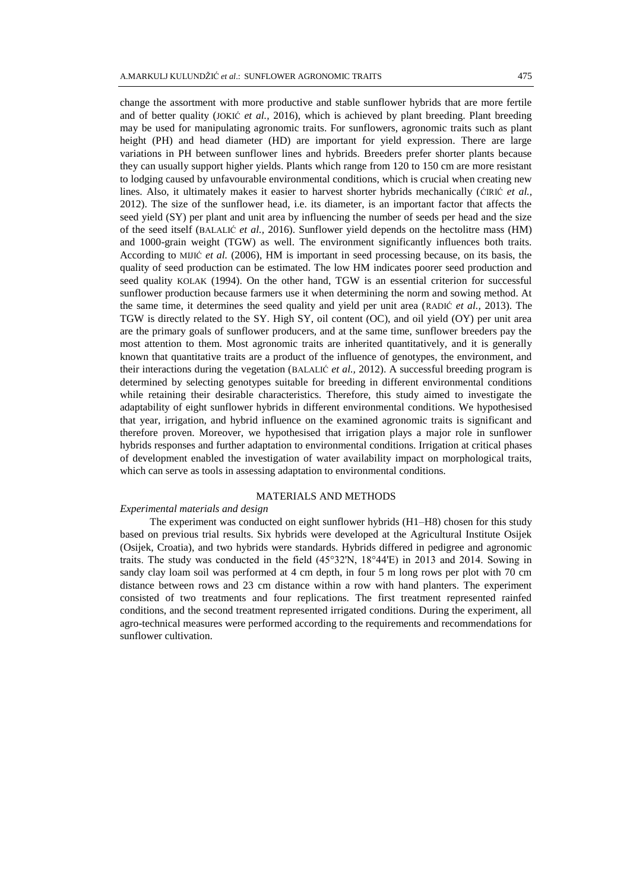change the assortment with more productive and stable sunflower hybrids that are more fertile and of better quality (JOKIĆ *et al.,* 2016), which is achieved by plant breeding. Plant breeding may be used for manipulating agronomic traits. For sunflowers, agronomic traits such as plant height (PH) and head diameter (HD) are important for yield expression. There are large variations in PH between sunflower lines and hybrids. Breeders prefer shorter plants because they can usually support higher yields. Plants which range from 120 to 150 cm are more resistant to lodging caused by unfavourable environmental conditions, which is crucial when creating new lines. Also, it ultimately makes it easier to harvest shorter hybrids mechanically (ĆIRIĆ *et al.,* 2012). The size of the sunflower head, i.e. its diameter, is an important factor that affects the seed yield (SY) per plant and unit area by influencing the number of seeds per head and the size of the seed itself (BALALIĆ *et al.,* 2016). Sunflower yield depends on the hectolitre mass (HM) and 1000-grain weight (TGW) as well. The environment significantly influences both traits. According to MIJIĆ *et al.* (2006), HM is important in seed processing because, on its basis, the quality of seed production can be estimated. The low HM indicates poorer seed production and seed quality KOLAK (1994). On the other hand, TGW is an essential criterion for successful sunflower production because farmers use it when determining the norm and sowing method. At the same time, it determines the seed quality and yield per unit area (RADIĆ *et al.,* 2013). The TGW is directly related to the SY. High SY, oil content (OC), and oil yield (OY) per unit area are the primary goals of sunflower producers, and at the same time, sunflower breeders pay the most attention to them. Most agronomic traits are inherited quantitatively, and it is generally known that quantitative traits are a product of the influence of genotypes, the environment, and their interactions during the vegetation (BALALIĆ *et al.,* 2012). A successful breeding program is determined by selecting genotypes suitable for breeding in different environmental conditions while retaining their desirable characteristics. Therefore, this study aimed to investigate the adaptability of eight sunflower hybrids in different environmental conditions. We hypothesised that year, irrigation, and hybrid influence on the examined agronomic traits is significant and therefore proven. Moreover, we hypothesised that irrigation plays a major role in sunflower hybrids responses and further adaptation to environmental conditions. Irrigation at critical phases of development enabled the investigation of water availability impact on morphological traits, which can serve as tools in assessing adaptation to environmental conditions.

# MATERIALS AND METHODS

### *Experimental materials and design*

The experiment was conducted on eight sunflower hybrids (H1–H8) chosen for this study based on previous trial results. Six hybrids were developed at the Agricultural Institute Osijek (Osijek, Croatia), and two hybrids were standards. Hybrids differed in pedigree and agronomic traits. The study was conducted in the field (45°32'N, 18°44'E) in 2013 and 2014. Sowing in sandy clay loam soil was performed at 4 cm depth, in four 5 m long rows per plot with 70 cm distance between rows and 23 cm distance within a row with hand planters. The experiment consisted of two treatments and four replications. The first treatment represented rainfed conditions, and the second treatment represented irrigated conditions. During the experiment, all agro-technical measures were performed according to the requirements and recommendations for sunflower cultivation.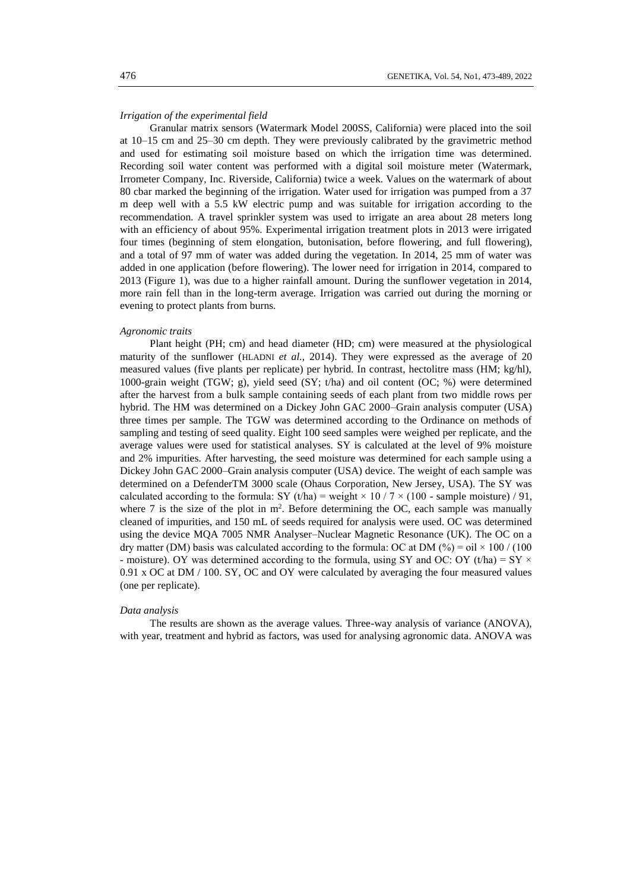### *Irrigation of the experimental field*

Granular matrix sensors (Watermark Model 200SS, California) were placed into the soil at 10–15 cm and 25–30 cm depth. They were previously calibrated by the gravimetric method and used for estimating soil moisture based on which the irrigation time was determined. Recording soil water content was performed with a digital soil moisture meter (Watermark, Irrometer Company, Inc. Riverside, California) twice a week. Values on the watermark of about 80 cbar marked the beginning of the irrigation. Water used for irrigation was pumped from a 37 m deep well with a 5.5 kW electric pump and was suitable for irrigation according to the recommendation. A travel sprinkler system was used to irrigate an area about 28 meters long with an efficiency of about 95%. Experimental irrigation treatment plots in 2013 were irrigated four times (beginning of stem elongation, butonisation, before flowering, and full flowering), and a total of 97 mm of water was added during the vegetation. In 2014, 25 mm of water was added in one application (before flowering). The lower need for irrigation in 2014, compared to 2013 (Figure 1), was due to a higher rainfall amount. During the sunflower vegetation in 2014, more rain fell than in the long-term average. Irrigation was carried out during the morning or evening to protect plants from burns.

#### *Agronomic traits*

Plant height (PH; cm) and head diameter (HD; cm) were measured at the physiological maturity of the sunflower (HLADNI *et al.,* 2014). They were expressed as the average of 20 measured values (five plants per replicate) per hybrid. In contrast, hectolitre mass (HM; kg/hl), 1000-grain weight (TGW; g), yield seed (SY; t/ha) and oil content (OC; %) were determined after the harvest from a bulk sample containing seeds of each plant from two middle rows per hybrid. The HM was determined on a Dickey John GAC 2000–Grain analysis computer (USA) three times per sample. The TGW was determined according to the Ordinance on methods of sampling and testing of seed quality. Eight 100 seed samples were weighed per replicate, and the average values were used for statistical analyses. SY is calculated at the level of 9% moisture and 2% impurities. After harvesting, the seed moisture was determined for each sample using a Dickey John GAC 2000–Grain analysis computer (USA) device. The weight of each sample was determined on a DefenderTM 3000 scale (Ohaus Corporation, New Jersey, USA). The SY was calculated according to the formula: SY (t/ha) = weight  $\times$  10 / 7  $\times$  (100 - sample moisture) / 91, where  $7$  is the size of the plot in  $m^2$ . Before determining the OC, each sample was manually cleaned of impurities, and 150 mL of seeds required for analysis were used. OC was determined using the device MQA 7005 NMR Analyser–Nuclear Magnetic Resonance (UK). The OC on a dry matter (DM) basis was calculated according to the formula: OC at DM (%) = oil  $\times$  100 / (100) - moisture). OY was determined according to the formula, using SY and OC: OY (t/ha) =  $SY \times$ 0.91 x OC at DM / 100. SY, OC and OY were calculated by averaging the four measured values (one per replicate).

#### *Data analysis*

The results are shown as the average values. Three-way analysis of variance (ANOVA), with year, treatment and hybrid as factors, was used for analysing agronomic data. ANOVA was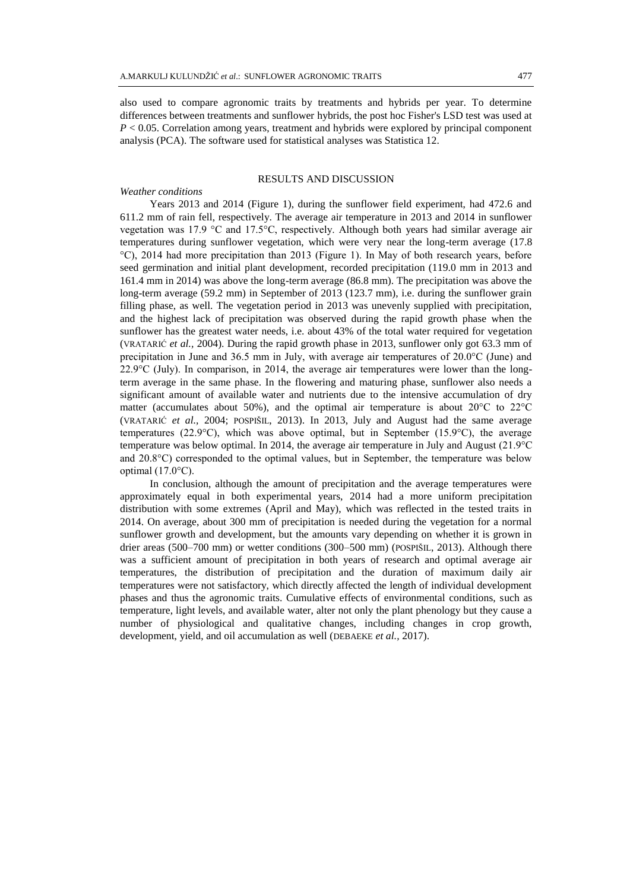also used to compare agronomic traits by treatments and hybrids per year. To determine differences between treatments and sunflower hybrids, the post hoc Fisher's LSD test was used at *P* < 0.05. Correlation among years, treatment and hybrids were explored by principal component analysis (PCA). The software used for statistical analyses was Statistica 12.

## RESULTS AND DISCUSSION

## *Weather conditions*

Years 2013 and 2014 (Figure 1), during the sunflower field experiment, had 472.6 and 611.2 mm of rain fell, respectively. The average air temperature in 2013 and 2014 in sunflower vegetation was 17.9 °C and 17.5°C, respectively. Although both years had similar average air temperatures during sunflower vegetation, which were very near the long-term average (17.8 °C), 2014 had more precipitation than 2013 (Figure 1). In May of both research years, before seed germination and initial plant development, recorded precipitation (119.0 mm in 2013 and 161.4 mm in 2014) was above the long-term average (86.8 mm). The precipitation was above the long-term average (59.2 mm) in September of 2013 (123.7 mm), i.e. during the sunflower grain filling phase, as well. The vegetation period in 2013 was unevenly supplied with precipitation, and the highest lack of precipitation was observed during the rapid growth phase when the sunflower has the greatest water needs, i.e. about 43% of the total water required for vegetation (VRATARIĆ *et al.,* 2004). During the rapid growth phase in 2013, sunflower only got 63.3 mm of precipitation in June and 36.5 mm in July, with average air temperatures of 20.0°C (June) and 22.9°C (July). In comparison, in 2014, the average air temperatures were lower than the longterm average in the same phase. In the flowering and maturing phase, sunflower also needs a significant amount of available water and nutrients due to the intensive accumulation of dry matter (accumulates about 50%), and the optimal air temperature is about  $20^{\circ}$ C to  $22^{\circ}$ C (VRATARIĆ *et al.,* 2004; POSPIŠIL, 2013). In 2013, July and August had the same average temperatures (22.9 $^{\circ}$ C), which was above optimal, but in September (15.9 $^{\circ}$ C), the average temperature was below optimal. In 2014, the average air temperature in July and August (21.9°C and 20.8°C) corresponded to the optimal values, but in September, the temperature was below optimal (17.0°C).

In conclusion, although the amount of precipitation and the average temperatures were approximately equal in both experimental years, 2014 had a more uniform precipitation distribution with some extremes (April and May), which was reflected in the tested traits in 2014. On average, about 300 mm of precipitation is needed during the vegetation for a normal sunflower growth and development, but the amounts vary depending on whether it is grown in drier areas (500–700 mm) or wetter conditions (300–500 mm) (POSPIŠIL, 2013). Although there was a sufficient amount of precipitation in both years of research and optimal average air temperatures, the distribution of precipitation and the duration of maximum daily air temperatures were not satisfactory, which directly affected the length of individual development phases and thus the agronomic traits. Cumulative effects of environmental conditions, such as temperature, light levels, and available water, alter not only the plant phenology but they cause a number of physiological and qualitative changes, including changes in crop growth, development, yield, and oil accumulation as well (DEBAEKE *et al.,* 2017).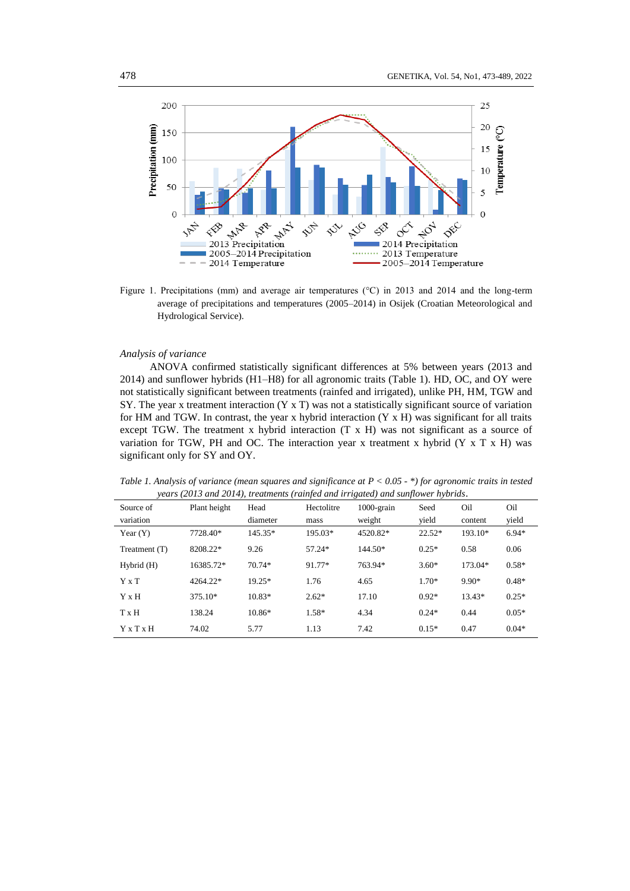

Figure 1. Precipitations (mm) and average air temperatures (°C) in 2013 and 2014 and the long-term average of precipitations and temperatures (2005–2014) in Osijek (Croatian Meteorological and Hydrological Service).

# *Analysis of variance*

ANOVA confirmed statistically significant differences at 5% between years (2013 and 2014) and sunflower hybrids (H1–H8) for all agronomic traits (Table 1). HD, OC, and OY were not statistically significant between treatments (rainfed and irrigated), unlike PH, HM, TGW and SY. The year x treatment interaction  $(Y \times T)$  was not a statistically significant source of variation for HM and TGW. In contrast, the year x hybrid interaction  $(Y \times H)$  was significant for all traits except TGW. The treatment x hybrid interaction (T x H) was not significant as a source of variation for TGW, PH and OC. The interaction year x treatment x hybrid  $(Y \times T \times H)$  was significant only for SY and OY.

| Source of     | Plant height | Head     | Hectolitre | $1000$ -grain | Seed     | Oil      | Oil     |
|---------------|--------------|----------|------------|---------------|----------|----------|---------|
| variation     |              | diameter | mass       | weight        | vield    | content  | yield   |
| Year $(Y)$    | 7728.40*     | 145.35*  | 195.03*    | 4520.82*      | $22.52*$ | 193.10*  | $6.94*$ |
| Treatment (T) | 8208.22*     | 9.26     | $57.24*$   | 144.50*       | $0.25*$  | 0.58     | 0.06    |
| Hybrid (H)    | 16385.72*    | $70.74*$ | 91.77*     | 763.94*       | $3.60*$  | 173.04*  | $0.58*$ |
| $Y \times T$  | 4264.22*     | $19.25*$ | 1.76       | 4.65          | $1.70*$  | $9.90*$  | $0.48*$ |
| Y x H         | 375.10*      | $10.83*$ | $2.62*$    | 17.10         | $0.92*$  | $13.43*$ | $0.25*$ |
| T x H         | 138.24       | $10.86*$ | 1.58*      | 4.34          | $0.24*$  | 0.44     | $0.05*$ |
| Y x T x H     | 74.02        | 5.77     | 1.13       | 7.42          | $0.15*$  | 0.47     | $0.04*$ |

*Table 1. Analysis of variance (mean squares and significance at P < 0.05 - \*) for agronomic traits in tested years (2013 and 2014), treatments (rainfed and irrigated) and sunflower hybrids*.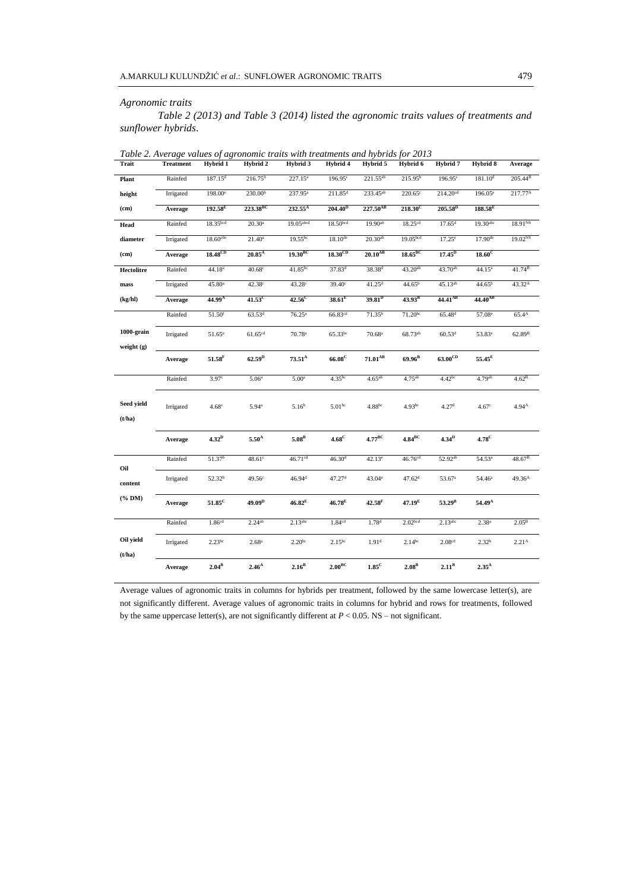## *Agronomic traits*

*Table 2 (2013) and Table 3 (2014) listed the agronomic traits values of treatments and sunflower hybrids*.

| Trait                | <b>Treatment</b> | Hybrid 1               | Hybrid 2             | Hybrid 3             | Hybrid 4             | Hybrid 5              | Hybrid 6             | Hybrid 7             | Hybrid 8             | Average             |
|----------------------|------------------|------------------------|----------------------|----------------------|----------------------|-----------------------|----------------------|----------------------|----------------------|---------------------|
| Plant                | Rainfed          | 187.15 <sup>d</sup>    | $216.75^{b}$         | $227.15^a$           | $196.95^{\circ}$     | 221.55 <sup>ab</sup>  | $215.95^{b}$         | 196.95c              | $181.10^{d}$         | $205.44^{B}$        |
| height               | Irrigated        | $198.00^{\circ}$       | 230.00 <sup>b</sup>  | $237.95^{\circ}$     | 211.85 <sup>d</sup>  | 233.45 <sup>ab</sup>  | $220.65^{\circ}$     | 214.20 <sup>cd</sup> | $196.05^{\circ}$     | $217.77^{\rm A}$    |
| (cm)                 | Average          | 192.58 <sup>E</sup>    | 223.38 <sup>BC</sup> | $232.55^{\text{A}}$  | $204.40^{D}$         | 227.50 <sup>AB</sup>  | $218.30^{\circ}$     | $205.58^{D}$         | 188.58 <sup>E</sup>  |                     |
| Head                 | Rainfed          | 18.35bcd               | 20.30 <sup>a</sup>   | $19.05$ abcd         | 18.50 <sup>bcd</sup> | $19.90$ <sup>ab</sup> | 18.25 <sup>cd</sup>  | 17.65 <sup>d</sup>   | $19.30$ abc          | 18.91 <sup>NS</sup> |
| diameter             | Irrigated        | $18.60$ <sup>cde</sup> | $21.40^a$            | $19.55^{bc}$         | $18.10^{de}$         | $20.30^{ab}$          | 19.05 <sup>bcd</sup> | $17.25^{\circ}$      | $17.90^{de}$         | $19.02^{NS}$        |
| (cm)                 | Average          | $18.48^{\text{CD}}$    | $20.85^{A}$          | $19.30^{\rm BC}$     | $18.30^{\text{CD}}$  | $20.10^{AB}$          | $18.65^{\text{BC}}$  | $17.45^{\rm D}$      | $18.60^\circ$        |                     |
| Hectolitre           | Rainfed          | 44.18 <sup>a</sup>     | $40.68$ <sup>c</sup> | $41.85^{bc}$         | $37.83^{d}$          | 38.38 <sup>d</sup>    | 43.20 <sup>ab</sup>  | $43.70^{ab}$         | 44.15 <sup>a</sup>   | 41.74 <sup>B</sup>  |
| mass                 | Irrigated        | 45.80 <sup>a</sup>     | $42.38^{\circ}$      | 43.28c               | $39.40^{\circ}$      | 41.25 <sup>d</sup>    | 44.65 <sup>b</sup>   | $45.13^{ab}$         | 44.65 <sup>b</sup>   | $43.32^{A}$         |
| (kg/hl)              | Average          | 44.99 <sup>A</sup>     | $41.53^{\circ}$      | $42.56^\circ$        | 38.61 <sup>E</sup>   | $39.81^D$             | 43.93 <sup>B</sup>   | 44.41 <sup>AB</sup>  | $44.40^{AB}$         |                     |
|                      | Rainfed          | 51.50 <sup>f</sup>     | 63.53 <sup>d</sup>   | 76.25 <sup>a</sup>   | 66.83cd              | 71.35 <sup>b</sup>    | 71.20 <sup>bc</sup>  | 65.48 <sup>d</sup>   | 57.08 <sup>e</sup>   | $65.4^{A}$          |
| 1000-grain           | Irrigated        | $51.65^{\circ}$        | 61.65 <sup>cd</sup>  | $70.78$ <sup>a</sup> | 65.33bc              | $70.68$ <sup>a</sup>  | 68.73ab              | 60.53 <sup>d</sup>   | 53.83 <sup>e</sup>   | 62.89 <sup>B</sup>  |
| weight (g)           |                  |                        |                      |                      |                      |                       |                      |                      |                      |                     |
|                      | Average          | $51.58$ <sup>F</sup>   | $62.59^{\rm D}$      | $73.51^A$            | $\rm 66.08^{C}$      | $71.01^{AB}$          | $69.96^{\rm B}$      | $63.00^{\text{CD}}$  | $55.45^{\mathrm{E}}$ |                     |
|                      | Rainfed          | 3.97c                  | 5.06 <sup>a</sup>    | 5.00 <sup>a</sup>    | $4.35^{bc}$          | 4.65 <sup>ab</sup>    | $4.75^{ab}$          | 4.42 <sup>bc</sup>   | 4.79 <sup>ab</sup>   | 4.62 <sup>B</sup>   |
| Seed yield<br>(t/ha) | Irrigated        | 4.68c                  | 5.94 <sup>a</sup>    | 5.16 <sup>b</sup>    | 5.01 <sup>bc</sup>   | 4.88 <sup>bc</sup>    | 4.93 <sup>bc</sup>   | 4.27 <sup>d</sup>    | 4.67c                | 4.94 <sup>A</sup>   |
|                      |                  |                        |                      |                      |                      |                       |                      |                      |                      |                     |
|                      | Average          | $4.32^{\mathrm{D}}$    | $5.50^{A}$           | $5.08^{\rm B}$       | $4.68^{\circ}$       | $4.77^{\text{BC}}$    | $4.84^{\mathrm{BC}}$ | 4.34 <sup>D</sup>    | $4.78^\mathrm{C}$    |                     |
| Oil                  | Rainfed          | 51.37 <sup>b</sup>     | 48.61 <sup>c</sup>   | 46.71 <sup>cd</sup>  | 46.30 <sup>d</sup>   | $42.13^e$             | 46.76 <sup>cd</sup>  | 52.92 <sup>ab</sup>  | 54.53 <sup>a</sup>   | $48.67^{\text{B}}$  |
| content              | Irrigated        | 52.32 <sup>b</sup>     | 49.56 <sup>c</sup>   | 46.94 <sup>d</sup>   | 47.27 <sup>d</sup>   | 43.04 <sup>e</sup>    | 47.62 <sup>d</sup>   | 53.67 <sup>a</sup>   | 54.46 <sup>a</sup>   | 49.36 <sup>A</sup>  |
| (% DM)               | Average          | $51.85^{\circ}$        | $49.09^{\rm D}$      | $46.82^{\mathrm{E}}$ | 46.78 <sup>E</sup>   | $42.58$ <sup>F</sup>  | 47.19 <sup>E</sup>   | $53.29^{\rm B}$      | $54.49^A$            |                     |
|                      | Rainfed          | 1.86 <sup>cd</sup>     | $2.24^{ab}$          | $2.13$ abc           | 1.84 <sup>cd</sup>   | 1.78 <sup>d</sup>     | 2.02 <sub>bcd</sub>  | $2.13$ abc           | $2.38^{a}$           | 2.05 <sup>B</sup>   |
| Oil yield<br>(t/ha)  | Irrigated        | $2.23$ bc              | 2.68 <sup>a</sup>    | $2.20^{bc}$          | 2.15 <sup>bc</sup>   | 1.91 <sup>d</sup>     | $2.14$ bc            | 2.08 <sup>cd</sup>   | 2.32 <sup>b</sup>    | 2.21 <sup>A</sup>   |
|                      | Average          | $2.04^{\rm B}$         | $2.46^{A}$           | $2.16^B$             | $2.00^{\rm BC}$      | $1.85^{\circ}$        | 2.08 <sup>B</sup>    | $2.11^B$             | 2.35 <sup>A</sup>    |                     |

*Table 2. Average values of agronomic traits with treatments and hybrids for 2013*

Average values of agronomic traits in columns for hybrids per treatment, followed by the same lowercase letter(s), are not significantly different. Average values of agronomic traits in columns for hybrid and rows for treatments, followed by the same uppercase letter(s), are not significantly different at *P* < 0.05. NS – not significant.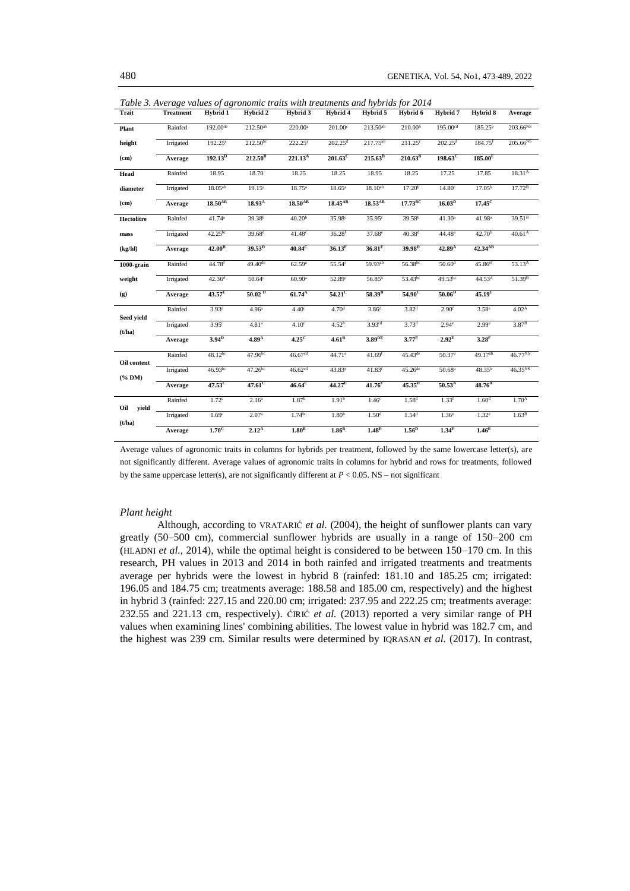| Trait                   | <b>Treatment</b> | Hybrid 1             | Hybrid 2           | Table 3. Average values of agronomic traits with treatments and hybrids for 2014<br>Hybrid 3 | Hybrid 4              | Hybrid 5             | Hybrid 6            | Hybrid 7             | Hybrid 8              |                    |
|-------------------------|------------------|----------------------|--------------------|----------------------------------------------------------------------------------------------|-----------------------|----------------------|---------------------|----------------------|-----------------------|--------------------|
|                         |                  |                      |                    |                                                                                              |                       |                      |                     |                      |                       | Average            |
| Plant                   | Rainfed          | $192.00^{de}$        | $212.50^{ab}$      | $220.00^a$                                                                                   | $201.00^{\circ}$      | $213.50^{ab}$        | 210.00 <sup>b</sup> | 195.00 <sup>cd</sup> | $185.25^{\circ}$      | $203.66^{NS}$      |
| height                  | Irrigated        | $192.25^{\circ}$     | $212.50^{bc}$      | $222.25^a$                                                                                   | $202.25^d$            | $217.75^{ab}$        | $211.25^{\circ}$    | $202.25^d$           | $184.75$ <sup>f</sup> | $205.66^{NS}$      |
| (cm)                    | Average          | $192.13^{\rm D}$     | $212.50^{\rm B}$   | 221.13 <sup>A</sup>                                                                          | $201.63$ <sup>C</sup> | $215.63^B$           | $210.63^{\rm B}$    | $198.63^C$           | 185.00 <sup>E</sup>   |                    |
| Head                    | Rainfed          | 18.95                | 18.70              | 18.25                                                                                        | 18.25                 | 18.95                | 18.25               | 17.25                | 17.85                 | 18.31 <sup>A</sup> |
| diameter                | Irrigated        | $18.05^{ab}$         | 19.15 <sup>a</sup> | 18.75 <sup>a</sup>                                                                           | 18.65 <sup>a</sup>    | $18.10^{ab}$         | 17.20 <sup>b</sup>  | 14.80c               | 17.05 <sup>b</sup>    | 17.72 <sup>B</sup> |
| (cm)                    | Average          | $18.50^{AB}$         | $18.93^{A}$        | $18.50^{AB}$                                                                                 | $18.45^{AB}$          | $18.53^{AB}$         | $17.73^{\rm BC}$    | 16.03 <sup>D</sup>   | $17.45^\circ$         |                    |
| <b>Hectolitre</b>       | Rainfed          | 41.74 <sup>a</sup>   | $39.38^{b}$        | 40.20 <sup>b</sup>                                                                           | $35.98^{\circ}$       | $35.95^\circ$        | 39.58 <sup>b</sup>  | 41.30 <sup>a</sup>   | 41.98 <sup>a</sup>    | $39.51^{B}$        |
| mass                    | Irrigated        | $42.25^{bc}$         | $39.68^{d}$        | $41.48^{\circ}$                                                                              | 36.28 <sup>f</sup>    | $37.68^{\circ}$      | $40.38^{d}$         | 44.48 <sup>a</sup>   | 42.70 <sup>b</sup>    | 40.61 <sup>A</sup> |
| (kg/hl)                 | Average          | $42.00^{\rm B}$      | $39.53^{\rm D}$    | $40.84^\circ$                                                                                | 36.13 <sup>F</sup>    | 36.81 <sup>E</sup>   | $39.98^{D}$         | 42.89 <sup>A</sup>   | $42.34^{AB}$          |                    |
| 1000-grain              | Rainfed          | 44.78 <sup>f</sup>   | $49.40^{de}$       | 62.59 <sup>a</sup>                                                                           | 55.54 <sup>c</sup>    | 59.93ab              | 56.38bc             | 50.60 <sup>d</sup>   | 45.86 <sup>ef</sup>   | 53.13 <sup>A</sup> |
| weight                  | Irrigated        | 42.36 <sup>d</sup>   | 50.64c             | $60.90$ <sup>a</sup>                                                                         | 52.89c                | 56.85 <sup>b</sup>   | 53.43bc             | 49.53bc              | 44.53 <sup>d</sup>    | 51.39 <sup>B</sup> |
| (g)                     | Average          | 43.57 <sup>E</sup>   | $50.02^{D}$        | $61.74^{A}$                                                                                  | $54.21$ <sup>C</sup>  | $58.39^{B}$          | 54.90 <sup>C</sup>  | $50.06^{\rm D}$      | 45.19 <sup>E</sup>    |                    |
| Seed yield              | Rainfed          | $3.93^{d}$           | 4.96 <sup>a</sup>  | 4.40 <sup>c</sup>                                                                            | 4.70 <sup>d</sup>     | $3.86^{d}$           | $3.82^{d}$          | 2.90 <sup>f</sup>    | $3.58^{\circ}$        | 4.02 <sup>A</sup>  |
| (t/ha)                  | Irrigated        | 3.95 <sup>c</sup>    | 4.81 <sup>a</sup>  | 4.10 <sup>c</sup>                                                                            | 4.52 <sup>b</sup>     | 3.93 <sup>cd</sup>   | 3.73 <sup>d</sup>   | 2.94 <sup>e</sup>    | 2.99 <sup>e</sup>     | $3.87^{\rm B}$     |
|                         | Average          | 3.94 <sup>D</sup>    | 4.89 <sup>A</sup>  | $4.25^{\circ}$                                                                               | $4.61^B$              | 3.89 <sup>DE</sup>   | 3.77 <sup>E</sup>   | 2.92 <sup>E</sup>    | 3.28 <sup>F</sup>     |                    |
| Oil content             | Rainfed          | $48.12^{bc}$         | 47.96bc            | 46.67 <sup>cd</sup>                                                                          | $44.71$ <sup>e</sup>  | $41.69$ <sup>f</sup> | $45.43^{\text{de}}$ | 50.37 <sup>a</sup>   | 49.17ab               | $46.77^{NS}$       |
| $(% \mathbf{M})$ (% DM) | Irrigated        | $46.93^{bc}$         | $47.26$ bc         | 46.62 <sup>cd</sup>                                                                          | $43.83^e$             | 41.83f               | $45.26$ de          | 50.68 <sup>a</sup>   | 48.35 <sup>b</sup>    | $46.35^{NS}$       |
|                         | Average          | $47.53$ <sup>C</sup> | $47.61^\circ$      | $46.64^\circ$                                                                                | 44.27 <sup>E</sup>    | 41.76 <sup>F</sup>   | $45.35^{D}$         | $50.53^{A}$          | $48.76^{A}$           |                    |
|                         | Rainfed          | 1.72 <sup>c</sup>    | 2.16 <sup>a</sup>  | 1.87 <sup>b</sup>                                                                            | 1.91 <sup>b</sup>     | 1.46 <sup>c</sup>    | 1.58 <sup>d</sup>   | 1.33 <sup>f</sup>    | 1.60 <sup>d</sup>     | 1.70 <sup>A</sup>  |
| Oil<br>yield<br>(t/ha)  | Irrigated        | 1.69 <sup>c</sup>    | 2.07 <sup>a</sup>  | 1.74 <sup>bc</sup>                                                                           | 1.80 <sup>b</sup>     | 1.50 <sup>d</sup>    | 1.54 <sup>d</sup>   | 1.36 <sup>e</sup>    | 1.32 <sup>e</sup>     | 1.63 <sup>B</sup>  |
|                         | Average          | $1.70^{\circ}$       | $2.12^{A}$         | 1.80 <sup>B</sup>                                                                            | 1.86 <sup>B</sup>     | 1.48 <sup>E</sup>    | 1.56 <sup>D</sup>   | 1.34 <sup>F</sup>    | 1.46 <sup>E</sup>     |                    |

Average values of agronomic traits in columns for hybrids per treatment, followed by the same lowercase letter(s), are not significantly different. Average values of agronomic traits in columns for hybrid and rows for treatments, followed by the same uppercase letter(s), are not significantly different at *P* < 0.05. NS – not significant

### *Plant height*

Although, according to VRATARIĆ *et al.* (2004), the height of sunflower plants can vary greatly (50–500 cm), commercial sunflower hybrids are usually in a range of 150–200 cm (HLADNI *et al.,* 2014), while the optimal height is considered to be between 150–170 cm. In this research, PH values in 2013 and 2014 in both rainfed and irrigated treatments and treatments average per hybrids were the lowest in hybrid 8 (rainfed: 181.10 and 185.25 cm; irrigated: 196.05 and 184.75 cm; treatments average: 188.58 and 185.00 cm, respectively) and the highest in hybrid 3 (rainfed: 227.15 and 220.00 cm; irrigated: 237.95 and 222.25 cm; treatments average: 232.55 and 221.13 cm, respectively). ĆIRIĆ *et al.* (2013) reported a very similar range of PH values when examining lines' combining abilities. The lowest value in hybrid was 182.7 cm, and the highest was 239 cm. Similar results were determined by IQRASAN *et al.* (2017). In contrast,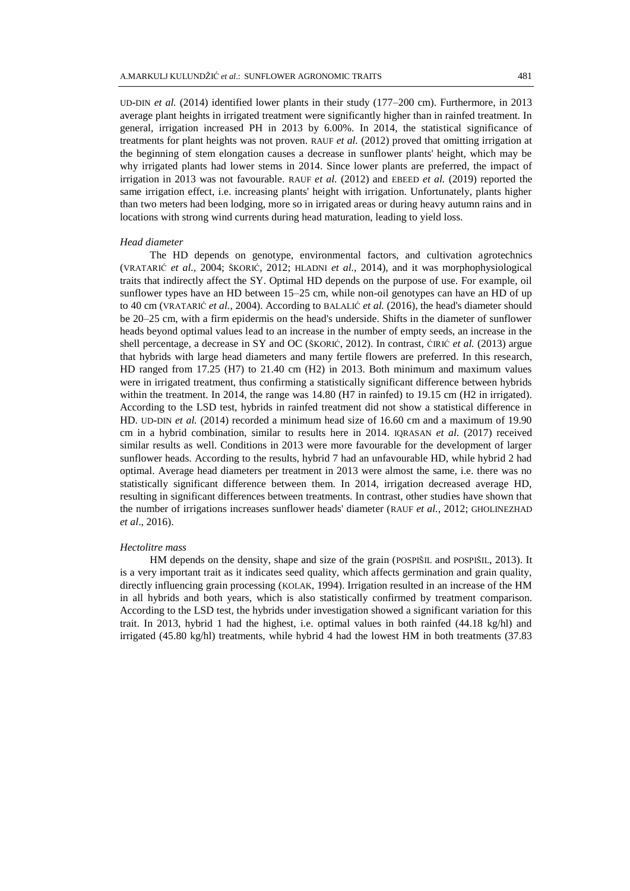UD-DIN *et al.* (2014) identified lower plants in their study (177–200 cm). Furthermore, in 2013 average plant heights in irrigated treatment were significantly higher than in rainfed treatment. In general, irrigation increased PH in 2013 by 6.00%. In 2014, the statistical significance of treatments for plant heights was not proven. RAUF *et al.* (2012) proved that omitting irrigation at the beginning of stem elongation causes a decrease in sunflower plants' height, which may be why irrigated plants had lower stems in 2014. Since lower plants are preferred, the impact of irrigation in 2013 was not favourable. RAUF *et al.* (2012) and EBEED *et al.* (2019) reported the same irrigation effect, i.e. increasing plants' height with irrigation. Unfortunately, plants higher than two meters had been lodging, more so in irrigated areas or during heavy autumn rains and in locations with strong wind currents during head maturation, leading to yield loss.

### *Head diameter*

The HD depends on genotype, environmental factors, and cultivation agrotechnics (VRATARIĆ *et al.,* 2004; ŠKORIĆ, 2012; HLADNI *et al.,* 2014), and it was morphophysiological traits that indirectly affect the SY. Optimal HD depends on the purpose of use. For example, oil sunflower types have an HD between 15–25 cm, while non-oil genotypes can have an HD of up to 40 cm (VRATARIĆ *et al.,* 2004). According to BALALIĆ *et al.* (2016), the head's diameter should be 20–25 cm, with a firm epidermis on the head's underside. Shifts in the diameter of sunflower heads beyond optimal values lead to an increase in the number of empty seeds, an increase in the shell percentage, a decrease in SY and OC (ŠKORIĆ, 2012). In contrast, ĆIRIĆ *et al.* (2013) argue that hybrids with large head diameters and many fertile flowers are preferred. In this research, HD ranged from 17.25 (H7) to 21.40 cm (H2) in 2013. Both minimum and maximum values were in irrigated treatment, thus confirming a statistically significant difference between hybrids within the treatment. In 2014, the range was 14.80 (H7 in rainfed) to 19.15 cm (H2 in irrigated). According to the LSD test, hybrids in rainfed treatment did not show a statistical difference in HD. UD-DIN *et al.* (2014) recorded a minimum head size of 16.60 cm and a maximum of 19.90 cm in a hybrid combination, similar to results here in 2014. IQRASAN *et al.* (2017) received similar results as well. Conditions in 2013 were more favourable for the development of larger sunflower heads. According to the results, hybrid 7 had an unfavourable HD, while hybrid 2 had optimal. Average head diameters per treatment in 2013 were almost the same, i.e. there was no statistically significant difference between them. In 2014, irrigation decreased average HD, resulting in significant differences between treatments. In contrast, other studies have shown that the number of irrigations increases sunflower heads' diameter (RAUF *et al.,* 2012; GHOLINEZHAD *et al*., 2016).

### *Hectolitre mass*

HM depends on the density, shape and size of the grain (POSPIŠIL and POSPIŠIL, 2013). It is a very important trait as it indicates seed quality, which affects germination and grain quality, directly influencing grain processing (KOLAK, 1994). Irrigation resulted in an increase of the HM in all hybrids and both years, which is also statistically confirmed by treatment comparison. According to the LSD test, the hybrids under investigation showed a significant variation for this trait. In 2013, hybrid 1 had the highest, i.e. optimal values in both rainfed (44.18 kg/hl) and irrigated (45.80 kg/hl) treatments, while hybrid 4 had the lowest HM in both treatments (37.83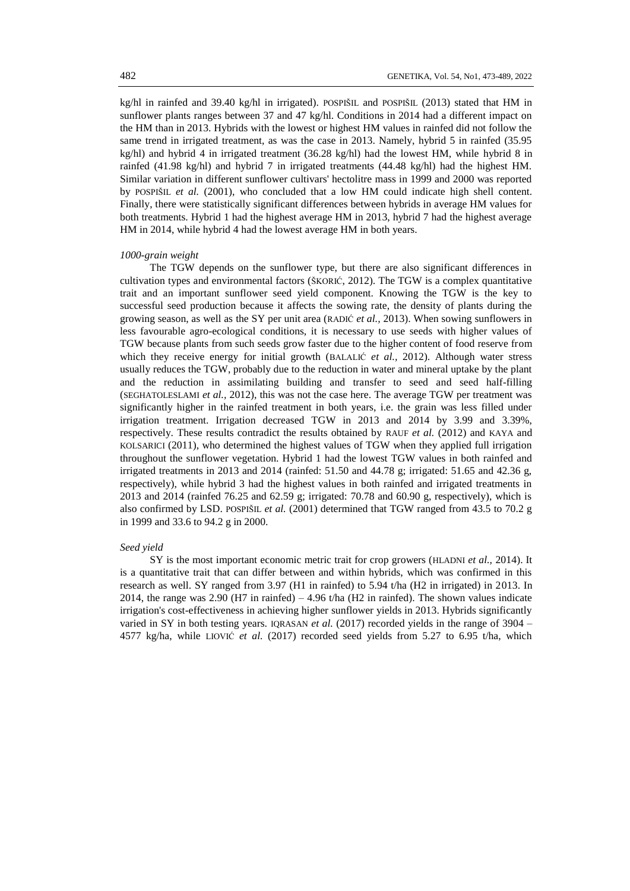kg/hl in rainfed and 39.40 kg/hl in irrigated). POSPIŠIL and POSPIŠIL (2013) stated that HM in sunflower plants ranges between 37 and 47 kg/hl. Conditions in 2014 had a different impact on the HM than in 2013. Hybrids with the lowest or highest HM values in rainfed did not follow the same trend in irrigated treatment, as was the case in 2013. Namely, hybrid 5 in rainfed (35.95) kg/hl) and hybrid 4 in irrigated treatment (36.28 kg/hl) had the lowest HM, while hybrid 8 in rainfed (41.98 kg/hl) and hybrid 7 in irrigated treatments (44.48 kg/hl) had the highest HM. Similar variation in different sunflower cultivars' hectolitre mass in 1999 and 2000 was reported by POSPIŠIL *et al.* (2001), who concluded that a low HM could indicate high shell content. Finally, there were statistically significant differences between hybrids in average HM values for both treatments. Hybrid 1 had the highest average HM in 2013, hybrid 7 had the highest average HM in 2014, while hybrid 4 had the lowest average HM in both years.

#### *1000-grain weight*

The TGW depends on the sunflower type, but there are also significant differences in cultivation types and environmental factors (ŠKORIĆ, 2012). The TGW is a complex quantitative trait and an important sunflower seed yield component. Knowing the TGW is the key to successful seed production because it affects the sowing rate, the density of plants during the growing season, as well as the SY per unit area (RADIĆ *et al.,* 2013). When sowing sunflowers in less favourable agro-ecological conditions, it is necessary to use seeds with higher values of TGW because plants from such seeds grow faster due to the higher content of food reserve from which they receive energy for initial growth (BALALIĆ *et al.*, 2012). Although water stress usually reduces the TGW, probably due to the reduction in water and mineral uptake by the plant and the reduction in assimilating building and transfer to seed and seed half-filling (SEGHATOLESLAMI *et al.,* 2012), this was not the case here. The average TGW per treatment was significantly higher in the rainfed treatment in both years, i.e. the grain was less filled under irrigation treatment. Irrigation decreased TGW in 2013 and 2014 by 3.99 and 3.39%, respectively. These results contradict the results obtained by RAUF *et al.* (2012) and KAYA and KOLSARICI (2011), who determined the highest values of TGW when they applied full irrigation throughout the sunflower vegetation. Hybrid 1 had the lowest TGW values in both rainfed and irrigated treatments in 2013 and 2014 (rainfed: 51.50 and 44.78 g; irrigated: 51.65 and 42.36 g, respectively), while hybrid 3 had the highest values in both rainfed and irrigated treatments in 2013 and 2014 (rainfed 76.25 and 62.59 g; irrigated: 70.78 and 60.90 g, respectively), which is also confirmed by LSD. POSPIŠIL *et al.* (2001) determined that TGW ranged from 43.5 to 70.2 g in 1999 and 33.6 to 94.2 g in 2000.

#### *Seed yield*

SY is the most important economic metric trait for crop growers (HLADNI *et al.,* 2014). It is a quantitative trait that can differ between and within hybrids, which was confirmed in this research as well. SY ranged from 3.97 (H1 in rainfed) to 5.94 t/ha (H2 in irrigated) in 2013. In 2014, the range was 2.90 (H7 in rainfed)  $-4.96$  t/ha (H2 in rainfed). The shown values indicate irrigation's cost-effectiveness in achieving higher sunflower yields in 2013. Hybrids significantly varied in SY in both testing years. IORASAN *et al.* (2017) recorded yields in the range of 3904 – 4577 kg/ha, while LIOVIĆ *et al.* (2017) recorded seed yields from 5.27 to 6.95 t/ha, which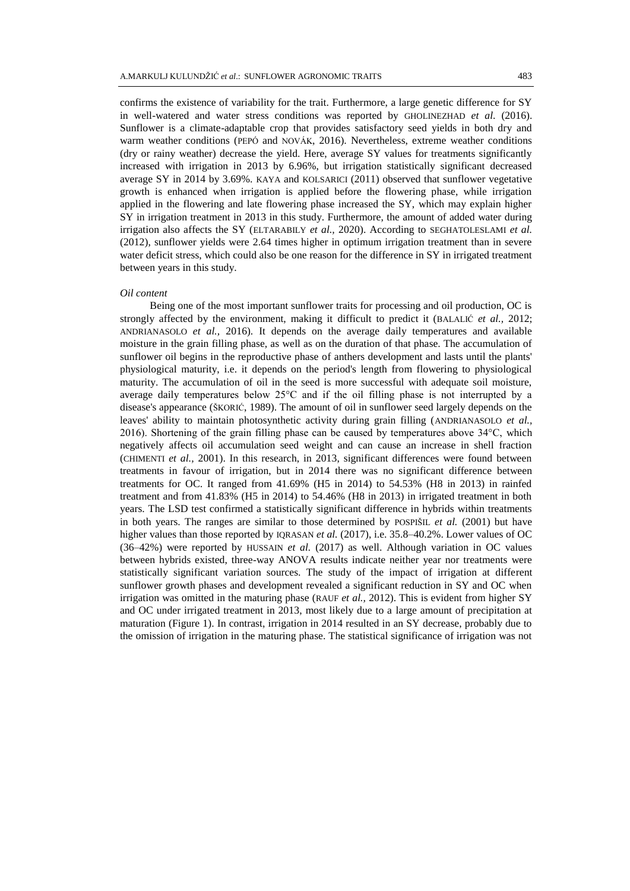confirms the existence of variability for the trait. Furthermore, a large genetic difference for SY in well-watered and water stress conditions was reported by GHOLINEZHAD *et al*. (2016). Sunflower is a climate-adaptable crop that provides satisfactory seed yields in both dry and warm weather conditions (PEPÓ and NOVÁK, 2016). Nevertheless, extreme weather conditions (dry or rainy weather) decrease the yield. Here, average SY values for treatments significantly increased with irrigation in 2013 by 6.96%, but irrigation statistically significant decreased average SY in 2014 by 3.69%. KAYA and KOLSARICI (2011) observed that sunflower vegetative growth is enhanced when irrigation is applied before the flowering phase, while irrigation applied in the flowering and late flowering phase increased the SY, which may explain higher SY in irrigation treatment in 2013 in this study. Furthermore, the amount of added water during irrigation also affects the SY (ELTARABILY *et al.,* 2020). According to SEGHATOLESLAMI *et al.* (2012), sunflower yields were 2.64 times higher in optimum irrigation treatment than in severe water deficit stress, which could also be one reason for the difference in SY in irrigated treatment between years in this study.

#### *Oil content*

Being one of the most important sunflower traits for processing and oil production, OC is strongly affected by the environment, making it difficult to predict it (BALALIĆ *et al.*, 2012; ANDRIANASOLO *et al.,* 2016). It depends on the average daily temperatures and available moisture in the grain filling phase, as well as on the duration of that phase. The accumulation of sunflower oil begins in the reproductive phase of anthers development and lasts until the plants' physiological maturity, i.e. it depends on the period's length from flowering to physiological maturity. The accumulation of oil in the seed is more successful with adequate soil moisture, average daily temperatures below 25°C and if the oil filling phase is not interrupted by a disease's appearance (ŠKORIĆ, 1989). The amount of oil in sunflower seed largely depends on the leaves' ability to maintain photosynthetic activity during grain filling (ANDRIANASOLO *et al.,* 2016). Shortening of the grain filling phase can be caused by temperatures above 34°C, which negatively affects oil accumulation seed weight and can cause an increase in shell fraction (CHIMENTI *et al.,* 2001). In this research, in 2013, significant differences were found between treatments in favour of irrigation, but in 2014 there was no significant difference between treatments for OC. It ranged from 41.69% (H5 in 2014) to 54.53% (H8 in 2013) in rainfed treatment and from 41.83% (H5 in 2014) to 54.46% (H8 in 2013) in irrigated treatment in both years. The LSD test confirmed a statistically significant difference in hybrids within treatments in both years. The ranges are similar to those determined by POSPIŠIL *et al.* (2001) but have higher values than those reported by IQRASAN *et al.* (2017), i.e. 35.8–40.2%. Lower values of OC (36–42%) were reported by HUSSAIN *et al.* (2017) as well. Although variation in OC values between hybrids existed, three-way ANOVA results indicate neither year nor treatments were statistically significant variation sources. The study of the impact of irrigation at different sunflower growth phases and development revealed a significant reduction in SY and OC when irrigation was omitted in the maturing phase (RAUF *et al.,* 2012). This is evident from higher SY and OC under irrigated treatment in 2013, most likely due to a large amount of precipitation at maturation (Figure 1). In contrast, irrigation in 2014 resulted in an SY decrease, probably due to the omission of irrigation in the maturing phase. The statistical significance of irrigation was not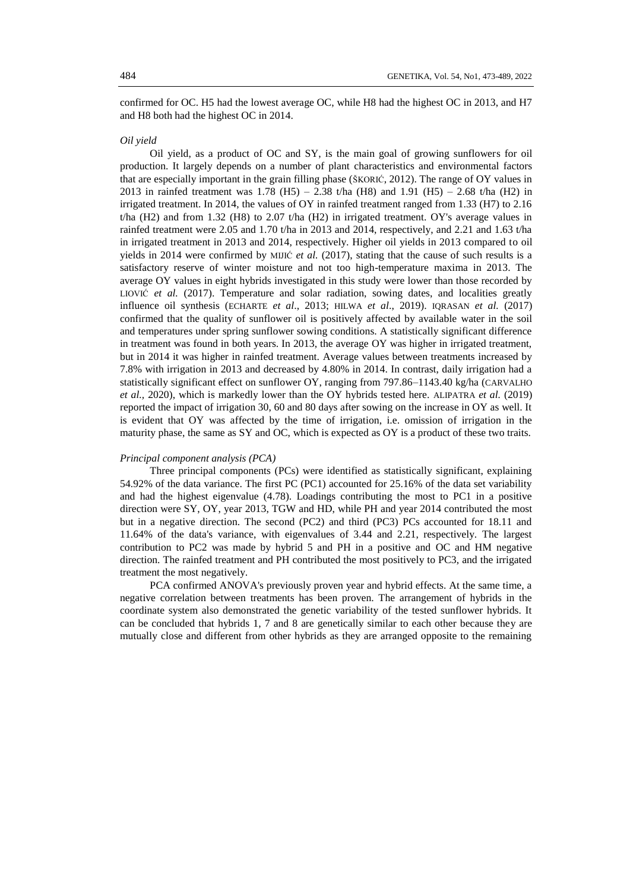confirmed for OC. H5 had the lowest average OC, while H8 had the highest OC in 2013, and H7 and H8 both had the highest OC in 2014.

### *Oil yield*

Oil yield, as a product of OC and SY, is the main goal of growing sunflowers for oil production. It largely depends on a number of plant characteristics and environmental factors that are especially important in the grain filling phase (ŠKORIĆ, 2012). The range of OY values in 2013 in rainfed treatment was  $1.78$  (H5) –  $2.38$  t/ha (H8) and  $1.91$  (H5) –  $2.68$  t/ha (H2) in irrigated treatment. In 2014, the values of OY in rainfed treatment ranged from 1.33 (H7) to 2.16 t/ha (H2) and from 1.32 (H8) to 2.07 t/ha (H2) in irrigated treatment. OY's average values in rainfed treatment were 2.05 and 1.70 t/ha in 2013 and 2014, respectively, and 2.21 and 1.63 t/ha in irrigated treatment in 2013 and 2014, respectively. Higher oil yields in 2013 compared to oil yields in 2014 were confirmed by MIJIĆ *et al.* (2017), stating that the cause of such results is a satisfactory reserve of winter moisture and not too high-temperature maxima in 2013. The average OY values in eight hybrids investigated in this study were lower than those recorded by LIOVIĆ *et al.* (2017). Temperature and solar radiation, sowing dates, and localities greatly influence oil synthesis (ECHARTE *et al*., 2013; HILWA *et al*., 2019). IQRASAN *et al.* (2017) confirmed that the quality of sunflower oil is positively affected by available water in the soil and temperatures under spring sunflower sowing conditions. A statistically significant difference in treatment was found in both years. In 2013, the average OY was higher in irrigated treatment, but in 2014 it was higher in rainfed treatment. Average values between treatments increased by 7.8% with irrigation in 2013 and decreased by 4.80% in 2014. In contrast, daily irrigation had a statistically significant effect on sunflower OY, ranging from 797.86–1143.40 kg/ha (CARVALHO *et al.,* 2020), which is markedly lower than the OY hybrids tested here. ALIPATRA *et al.* (2019) reported the impact of irrigation 30, 60 and 80 days after sowing on the increase in OY as well. It is evident that OY was affected by the time of irrigation, i.e. omission of irrigation in the maturity phase, the same as SY and OC, which is expected as OY is a product of these two traits.

## *Principal component analysis (PCA)*

Three principal components (PCs) were identified as statistically significant, explaining 54.92% of the data variance. The first PC (PC1) accounted for 25.16% of the data set variability and had the highest eigenvalue (4.78). Loadings contributing the most to PC1 in a positive direction were SY, OY, year 2013, TGW and HD, while PH and year 2014 contributed the most but in a negative direction. The second (PC2) and third (PC3) PCs accounted for 18.11 and 11.64% of the data's variance, with eigenvalues of 3.44 and 2.21, respectively. The largest contribution to PC2 was made by hybrid 5 and PH in a positive and OC and HM negative direction. The rainfed treatment and PH contributed the most positively to PC3, and the irrigated treatment the most negatively.

PCA confirmed ANOVA's previously proven year and hybrid effects. At the same time, a negative correlation between treatments has been proven. The arrangement of hybrids in the coordinate system also demonstrated the genetic variability of the tested sunflower hybrids. It can be concluded that hybrids 1, 7 and 8 are genetically similar to each other because they are mutually close and different from other hybrids as they are arranged opposite to the remaining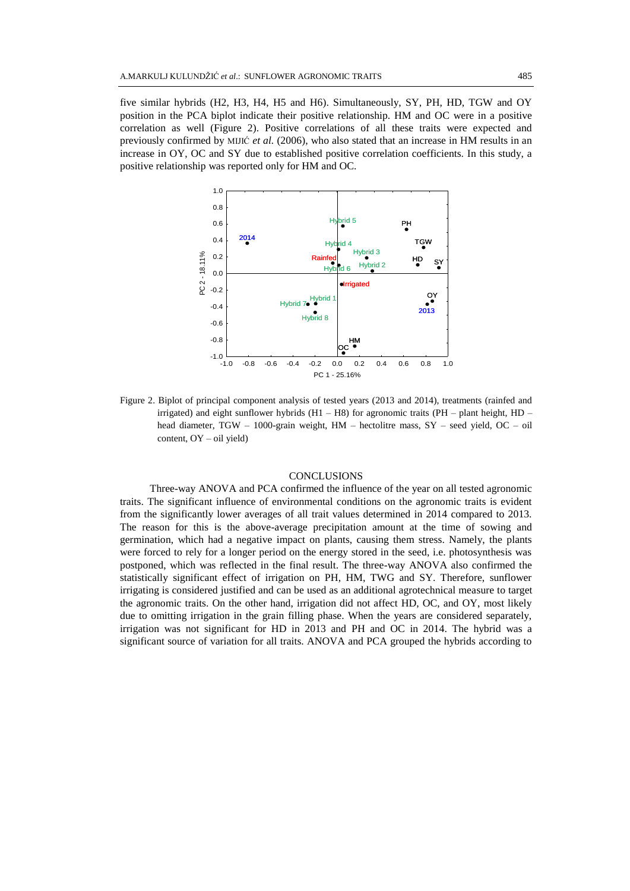five similar hybrids (H2, H3, H4, H5 and H6). Simultaneously, SY, PH, HD, TGW and OY position in the PCA biplot indicate their positive relationship. HM and OC were in a positive correlation as well (Figure 2). Positive correlations of all these traits were expected and previously confirmed by MIJIĆ *et al.* (2006), who also stated that an increase in HM results in an increase in OY, OC and SY due to established positive correlation coefficients. In this study, a positive relationship was reported only for HM and OC.



Figure 2. Biplot of principal component analysis of tested years (2013 and 2014), treatments (rainfed and irrigated) and eight sunflower hybrids  $(H1 - H8)$  for agronomic traits  $(PH - plant height, HD$ head diameter, TGW – 1000-grain weight, HM – hectolitre mass, SY – seed yield, OC – oil content, OY – oil yield)

### CONCLUSIONS

Three-way ANOVA and PCA confirmed the influence of the year on all tested agronomic traits. The significant influence of environmental conditions on the agronomic traits is evident from the significantly lower averages of all trait values determined in 2014 compared to 2013. The reason for this is the above-average precipitation amount at the time of sowing and germination, which had a negative impact on plants, causing them stress. Namely, the plants were forced to rely for a longer period on the energy stored in the seed, i.e. photosynthesis was postponed, which was reflected in the final result. The three-way ANOVA also confirmed the statistically significant effect of irrigation on PH, HM, TWG and SY. Therefore, sunflower irrigating is considered justified and can be used as an additional agrotechnical measure to target the agronomic traits. On the other hand, irrigation did not affect HD, OC, and OY, most likely due to omitting irrigation in the grain filling phase. When the years are considered separately, irrigation was not significant for HD in 2013 and PH and OC in 2014. The hybrid was a significant source of variation for all traits. ANOVA and PCA grouped the hybrids according to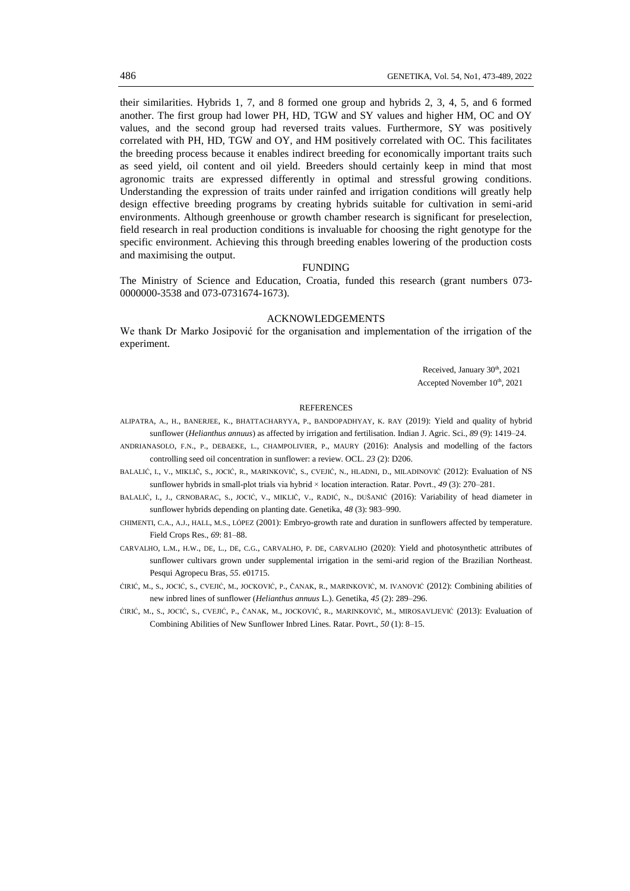their similarities. Hybrids 1, 7, and 8 formed one group and hybrids 2, 3, 4, 5, and 6 formed another. The first group had lower PH, HD, TGW and SY values and higher HM, OC and OY values, and the second group had reversed traits values. Furthermore, SY was positively correlated with PH, HD, TGW and OY, and HM positively correlated with OC. This facilitates the breeding process because it enables indirect breeding for economically important traits such as seed yield, oil content and oil yield. Breeders should certainly keep in mind that most agronomic traits are expressed differently in optimal and stressful growing conditions. Understanding the expression of traits under rainfed and irrigation conditions will greatly help design effective breeding programs by creating hybrids suitable for cultivation in semi-arid environments. Although greenhouse or growth chamber research is significant for preselection, field research in real production conditions is invaluable for choosing the right genotype for the specific environment. Achieving this through breeding enables lowering of the production costs and maximising the output.

## FUNDING

The Ministry of Science and Education, Croatia, funded this research (grant numbers 073- 0000000-3538 and 073-0731674-1673).

## ACKNOWLEDGEMENTS

We thank Dr Marko Josipović for the organisation and implementation of the irrigation of the experiment.

> Received, January  $30<sup>th</sup>$ , 2021 Accepted November  $10<sup>th</sup>$ , 2021

#### **REFERENCES**

- ALIPATRA, A., H., BANERJEE, K., BHATTACHARYYA, P., BANDOPADHYAY, K. RAY (2019): Yield and quality of hybrid sunflower (*Helianthus annuus*) as affected by irrigation and fertilisation. Indian J. Agric. Sci., *89* (9): 1419–24.
- ANDRIANASOLO, F.N., P., DEBAEKE, L., CHAMPOLIVIER, P., MAURY (2016): Analysis and modelling of the factors controlling seed oil concentration in sunflower: a review. OCL. *23* (2): D206.
- BALALIĆ, I., V., MIKLIČ, S., JOCIĆ, R., MARINKOVIĆ, S., CVEJIĆ, N., HLADNI, D., MILADINOVIĆ (2012): Evaluation of NS sunflower hybrids in small-plot trials via hybrid × location interaction. Ratar. Povrt., *49* (3): 270–281.
- BALALIĆ, I., J., CRNOBARAC, S., JOCIĆ, V., MIKLIČ, V., RADIĆ, N., DUŠANIĆ (2016): Variability of head diameter in sunflower hybrids depending on planting date. Genetika, *48* (3): 983–990.
- CHIMENTI, C.A., A.J., HALL, M.S., LÓPEZ (2001): Embryo-growth rate and duration in sunflowers affected by temperature. Field Crops Res., *69*: 81–88.
- CARVALHO, L.M., H.W., DE, L., DE, C.G., CARVALHO, P. DE, CARVALHO (2020): Yield and photosynthetic attributes of sunflower cultivars grown under supplemental irrigation in the semi-arid region of the Brazilian Northeast. Pesqui Agropecu Bras, *55*. e01715.
- ĆIRIĆ, M., S., JOCIĆ, S., CVEJIĆ, M., JOCKOVIĆ, P., ČANAK, R., MARINKOVIĆ, M. IVANOVIĆ (2012): Combining abilities of new inbred lines of sunflower (*Helianthus annuus* L.). Genetika, *45* (2): 289–296.
- ĆIRIĆ, M., S., JOCIĆ, S., CVEJIĆ, P., ČANAK, M., JOCKOVIĆ, R., MARINKOVIĆ, M., MIROSAVLJEVIĆ (2013): Evaluation of Combining Abilities of New Sunflower Inbred Lines. Ratar. Povrt., *50* (1): 8–15.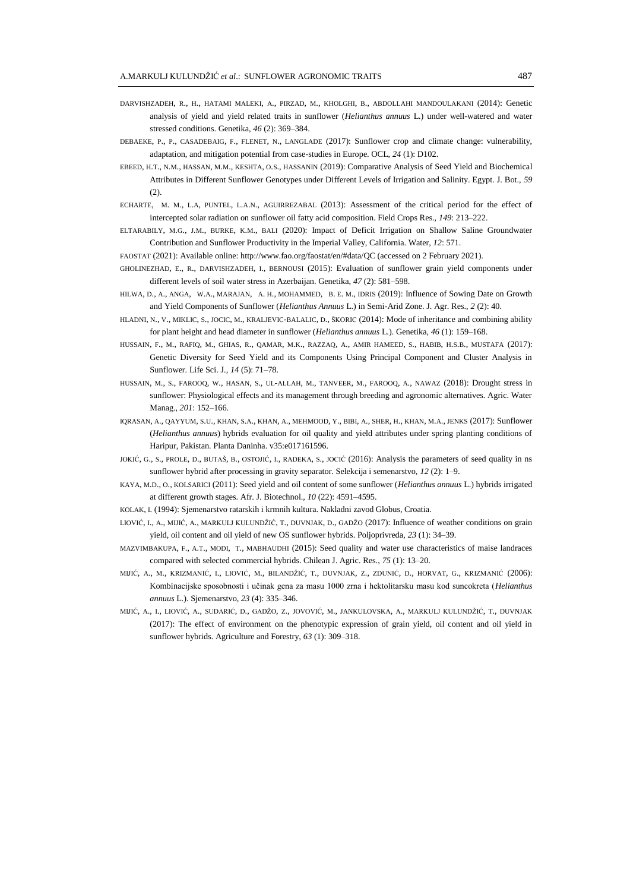- DARVISHZADEH, R., H., HATAMI MALEKI, A., PIRZAD, M., KHOLGHI, B., ABDOLLAHI MANDOULAKANI (2014): Genetic analysis of yield and yield related traits in sunflower (*Helianthus annuus* L.) under well-watered and water stressed conditions. Genetika, *46* (2): 369–384.
- DEBAEKE, P., P., CASADEBAIG, F., FLENET, N., LANGLADE (2017): Sunflower crop and climate change: vulnerability, adaptation, and mitigation potential from case-studies in Europe. OCL, *24* (1): D102.
- EBEED, H.T., N.M., HASSAN, M.M., KESHTA, O.S., HASSANIN (2019): Comparative Analysis of Seed Yield and Biochemical Attributes in Different Sunflower Genotypes under Different Levels of Irrigation and Salinity. Egypt. J. Bot., *59* (2).
- ECHARTE, M. M., L.A, PUNTEL, L.A.N., AGUIRREZABAL (2013): Assessment of the critical period for the effect of intercepted solar radiation on sunflower oil fatty acid composition. Field Crops Res., *149*: 213–222.
- ELTARABILY, M.G., J.M., BURKE, K.M., BALI (2020): Impact of Deficit Irrigation on Shallow Saline Groundwater Contribution and Sunflower Productivity in the Imperial Valley, California. Water, *12*: 571.
- FAOSTAT (2021): Available online: http://www.fao.org/faostat/en/#data/QC (accessed on 2 February 2021).
- GHOLINEZHAD, E., R., DARVISHZADEH, I., BERNOUSI (2015): Evaluation of sunflower grain yield components under different levels of soil water stress in Azerbaijan. Genetika, *47* (2): 581–598.
- HILWA, D., A., ANGA, W.A., MARAJAN, A. H., MOHAMMED, B. E. M., IDRIS (2019): Influence of Sowing Date on Growth and Yield Components of Sunflower (*Helianthus Annuus* L.) in Semi-Arid Zone. J. Agr. Res., *2* (2): 40.
- HLADNI, N., V., MIKLIC, S., JOCIC, M., KRALJEVIC-BALALIC, D., ŠKORIC (2014): Mode of inheritance and combining ability for plant height and head diameter in sunflower (*Helianthus annuus* L.). Genetika, *46* (1): 159–168.
- HUSSAIN, F., M., RAFIQ, M., GHIAS, R., QAMAR, M.K., RAZZAQ, A., AMIR HAMEED, S., HABIB, H.S.B., MUSTAFA (2017): Genetic Diversity for Seed Yield and its Components Using Principal Component and Cluster Analysis in Sunflower. Life Sci. J., *14* (5): 71–78.
- HUSSAIN, M., S., FAROOQ, W., HASAN, S., UL-ALLAH, M., TANVEER, M., FAROOQ, A., NAWAZ (2018): Drought stress in sunflower: Physiological effects and its management through breeding and agronomic alternatives. Agric. Water Manag., *201*: 152–166.
- IQRASAN, A., QAYYUM, S.U., KHAN, S.A., KHAN, A., MEHMOOD, Y., BIBI, A., SHER, H., KHAN, M.A., JENKS (2017): Sunflower (*Helianthus annuus*) hybrids evaluation for oil quality and yield attributes under spring planting conditions of Haripur, Pakistan. Planta Daninha. v35:e017161596.
- JOKIĆ, G., S., PROLE, D., BUTAŠ, B., OSTOJIĆ, I., RADEKA, S., JOCIĆ (2016): Analysis the parameters of seed quality in ns sunflower hybrid after processing in gravity separator. Selekcija i semenarstvo, *12* (2): 1–9.
- KAYA, M.D., O., KOLSARICI (2011): Seed yield and oil content of some sunflower (*Helianthus annuus* L.) hybrids irrigated at different growth stages. Afr. J. Biotechnol., *10* (22): 4591–4595.
- KOLAK, I. (1994): Sjemenarstvo ratarskih i krmnih kultura. Nakladni zavod Globus, Croatia.
- LIOVIĆ, I., A., MIJIĆ, A., MARKULJ KULUNDŽIĆ, T., DUVNJAK, D., GADŽO (2017): Influence of weather conditions on grain yield, oil content and oil yield of new OS sunflower hybrids. Poljoprivreda, *23* (1): 34–39.
- MAZVIMBAKUPA, F., A.T., MODI, T., MABHAUDHI (2015): Seed quality and water use characteristics of maise landraces compared with selected commercial hybrids. Chilean J. Agric. Res., *75* (1): 13–20.
- MIJIĆ, A., M., KRIZMANIĆ, I., LIOVIĆ, M., BILANDŽIĆ, T., DUVNJAK, Z., ZDUNIĆ, D., HORVAT, G., KRIZMANIĆ (2006): Kombinacijske sposobnosti i učinak gena za masu 1000 zrna i hektolitarsku masu kod suncokreta (*Helianthus annuus* L.). Sjemenarstvo, *23* (4): 335–346.
- MIJIĆ, A., I., LIOVIĆ, A., SUDARIĆ, D., GADŽO, Z., JOVOVIĆ, M., JANKULOVSKA, A., MARKULJ KULUNDŽIĆ, T., DUVNJAK (2017): The effect of environment on the phenotypic expression of grain yield, oil content and oil yield in sunflower hybrids. Agriculture and Forestry, *63* (1): 309–318.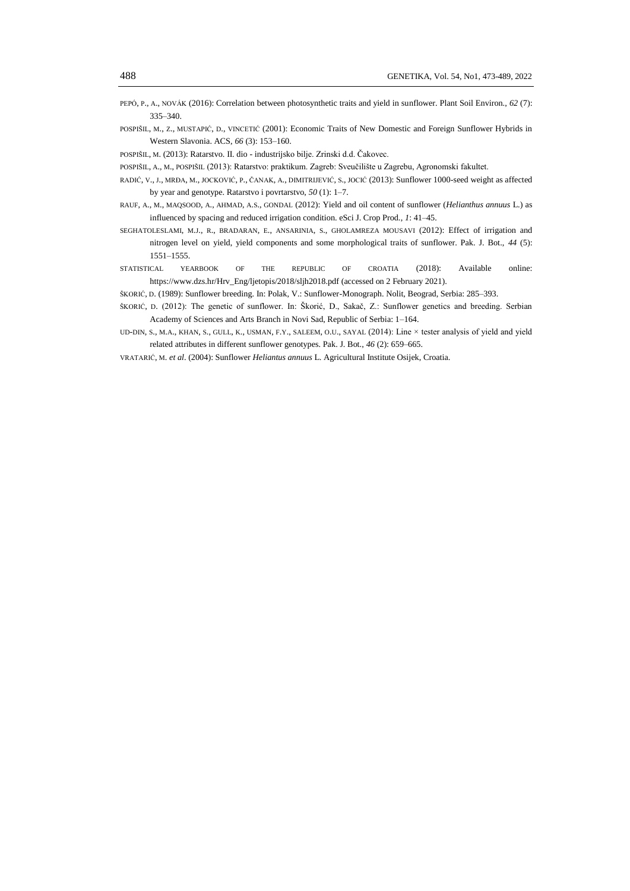- PEPÓ, P., A., NOVÁK (2016): Correlation between photosynthetic traits and yield in sunflower. Plant Soil Environ., *62* (7): 335–340.
- POSPIŠIL, M., Z., MUSTAPIĆ, D., VINCETIĆ (2001): Economic Traits of New Domestic and Foreign Sunflower Hybrids in Western Slavonia. ACS, *66* (3): 153–160.
- POSPIŠIL, M. (2013): Ratarstvo. II. dio industrijsko bilje. Zrinski d.d. Čakovec.
- POSPIŠIL, A., M., POSPIŠIL (2013): Ratarstvo: praktikum. Zagreb: Sveučilište u Zagrebu, Agronomski fakultet.
- RADIĆ, V., J., MRĐA, M., JOCKOVIĆ, P., ČANAK, A., DIMITRIJEVIĆ, S., JOCIĆ (2013): Sunflower 1000-seed weight as affected by year and genotype. Ratarstvo i povrtarstvo, *50* (1): 1–7.
- RAUF, A., M., MAQSOOD, A., AHMAD, A.S., GONDAL (2012): Yield and oil content of sunflower (*Helianthus annuus* L.) as influenced by spacing and reduced irrigation condition. eSci J. Crop Prod., *1*: 41–45.
- SEGHATOLESLAMI, M.J., R., BRADARAN, E., ANSARINIA, S., GHOLAMREZA MOUSAVI (2012): Effect of irrigation and nitrogen level on yield, yield components and some morphological traits of sunflower. Pak. J. Bot., *44* (5): 1551–1555.
- STATISTICAL YEARBOOK OF THE REPUBLIC OF CROATIA (2018): Available online: https://www.dzs.hr/Hrv\_Eng/ljetopis/2018/sljh2018.pdf (accessed on 2 February 2021).

ŠKORIĆ, D. (1989): Sunflower breeding. In: Polak, V.: Sunflower-Monograph. Nolit, Beograd, Serbia: 285–393.

- ŠKORIĆ, D. (2012): The genetic of sunflower. In: Škorić, D., Sakač, Z.: Sunflower genetics and breeding. Serbian Academy of Sciences and Arts Branch in Novi Sad, Republic of Serbia: 1–164.
- UD-DIN, S., M.A., KHAN, S., GULL, K., USMAN, F.Y., SALEEM, O.U., SAYAL (2014): Line × tester analysis of yield and yield related attributes in different sunflower genotypes. Pak. J. Bot., *46* (2): 659–665.
- VRATARIĆ, M. *et al*. (2004): Sunflower *Heliantus annuus* L. Agricultural Institute Osijek, Croatia.